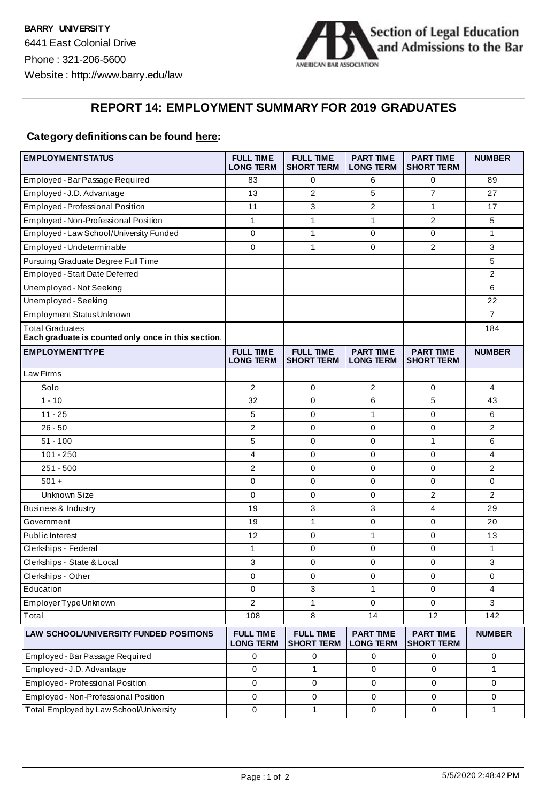

## **REPORT 14: EMPLOYMENT SUMMARY FOR 2019 GRADUATES**

## **Category definitions can be found here:**

| <b>EMPLOYMENTSTATUS</b>                                                       | <b>FULL TIME</b><br><b>LONG TERM</b> | <b>FULL TIME</b><br><b>SHORT TERM</b> | <b>PART TIME</b><br><b>LONG TERM</b> | <b>PART TIME</b><br><b>SHORT TERM</b> | <b>NUMBER</b>  |
|-------------------------------------------------------------------------------|--------------------------------------|---------------------------------------|--------------------------------------|---------------------------------------|----------------|
| Employed - Bar Passage Required                                               | 83                                   | 0                                     | 6                                    | 0                                     | 89             |
| Employed - J.D. Advantage                                                     | 13                                   | 2                                     | 5                                    | $\overline{7}$                        | 27             |
| Employed - Professional Position                                              | 11                                   | 3                                     | $\overline{2}$                       | $\mathbf{1}$                          | 17             |
| Employed-Non-Professional Position                                            | $\mathbf{1}$                         | $\mathbf{1}$                          | $\mathbf{1}$                         | $\overline{2}$                        | 5              |
| Employed - Law School/University Funded                                       | 0                                    | $\mathbf{1}$                          | 0                                    | 0                                     | $\mathbf{1}$   |
| Employed - Undeterminable                                                     | $\mathbf 0$                          | $\mathbf{1}$                          | $\mathbf 0$                          | 2                                     | 3              |
| Pursuing Graduate Degree Full Time                                            |                                      |                                       |                                      |                                       | 5              |
| <b>Employed - Start Date Deferred</b>                                         |                                      |                                       |                                      |                                       | 2              |
| Unemployed - Not Seeking                                                      |                                      |                                       |                                      |                                       | 6              |
| Unemployed - Seeking                                                          |                                      |                                       |                                      |                                       | 22             |
| Employment Status Unknown                                                     |                                      |                                       |                                      |                                       | 7              |
| <b>Total Graduates</b><br>Each graduate is counted only once in this section. |                                      |                                       |                                      |                                       | 184            |
| <b>EMPLOYMENTTYPE</b>                                                         | <b>FULL TIME</b><br><b>LONG TERM</b> | <b>FULL TIME</b><br><b>SHORT TERM</b> | <b>PART TIME</b><br><b>LONG TERM</b> | <b>PART TIME</b><br>SHORT TERM        | <b>NUMBER</b>  |
| Law Firms                                                                     |                                      |                                       |                                      |                                       |                |
| Solo                                                                          | 2                                    | 0                                     | 2                                    | 0                                     | $\overline{4}$ |
| $1 - 10$                                                                      | 32                                   | 0                                     | 6                                    | 5                                     | 43             |
| $11 - 25$                                                                     | 5                                    | 0                                     | $\mathbf{1}$                         | 0                                     | 6              |
| $26 - 50$                                                                     | 2                                    | 0                                     | 0                                    | 0                                     | $\overline{2}$ |
| $51 - 100$                                                                    | 5                                    | 0                                     | $\mathbf 0$                          | 1                                     | 6              |
| $101 - 250$                                                                   | 4                                    | 0                                     | 0                                    | 0                                     | 4              |
| $251 - 500$                                                                   | $\overline{2}$                       | 0                                     | $\mathbf 0$                          | 0                                     | $\overline{2}$ |
| $501 +$                                                                       | 0                                    | 0                                     | 0                                    | 0                                     | 0              |
| <b>Unknown Size</b>                                                           | 0                                    | 0                                     | 0                                    | 2                                     | $\overline{2}$ |
| Business & Industry                                                           | 19                                   | 3                                     | 3                                    | 4                                     | 29             |
| Government                                                                    | 19                                   | $\mathbf{1}$                          | 0                                    | 0                                     | 20             |
| Public Interest                                                               | 12                                   | 0                                     | $\mathbf{1}$                         | 0                                     | 13             |
| Clerkships - Federal                                                          | $\mathbf{1}$                         | 0                                     | $\mathbf 0$                          | 0                                     | $\mathbf{1}$   |
| Clerkships - State & Local                                                    | 3                                    | 0                                     | 0                                    | 0                                     | 3              |
| Clerkships - Other                                                            | 0                                    | 0                                     | 0                                    | 0                                     | 0              |
| Education                                                                     | 0                                    | 3                                     | $\mathbf{1}$                         | 0                                     | 4              |
| Employer Type Unknown                                                         | $\mathfrak{p}$                       | $\mathbf{1}$                          | 0                                    | 0                                     | 3              |
| Total                                                                         | 108                                  | 8                                     | 14                                   | 12                                    | 142            |
| LAW SCHOOL/UNIVERSITY FUNDED POSITIONS                                        | <b>FULL TIME</b><br><b>LONG TERM</b> | <b>FULL TIME</b><br><b>SHORT TERM</b> | <b>PART TIME</b><br><b>LONG TERM</b> | <b>PART TIME</b><br><b>SHORT TERM</b> | <b>NUMBER</b>  |
| Employed-Bar Passage Required                                                 | $\mathbf 0$                          | 0                                     | 0                                    | 0                                     | 0              |
| Employed-J.D. Advantage                                                       | $\mathbf 0$                          | $\mathbf{1}$                          | $\mathbf 0$                          | $\mathbf 0$                           | $\mathbf{1}$   |
| Employed-Professional Position                                                | $\mathbf 0$                          | 0                                     | 0                                    | $\mathbf 0$                           | 0              |
| Employed-Non-Professional Position                                            | $\mathbf 0$                          | $\pmb{0}$                             | $\pmb{0}$                            | $\pmb{0}$                             | 0              |
| Total Employed by Law School/University                                       | $\pmb{0}$                            | $\mathbf{1}$                          | 0                                    | 0                                     | $\mathbf{1}$   |